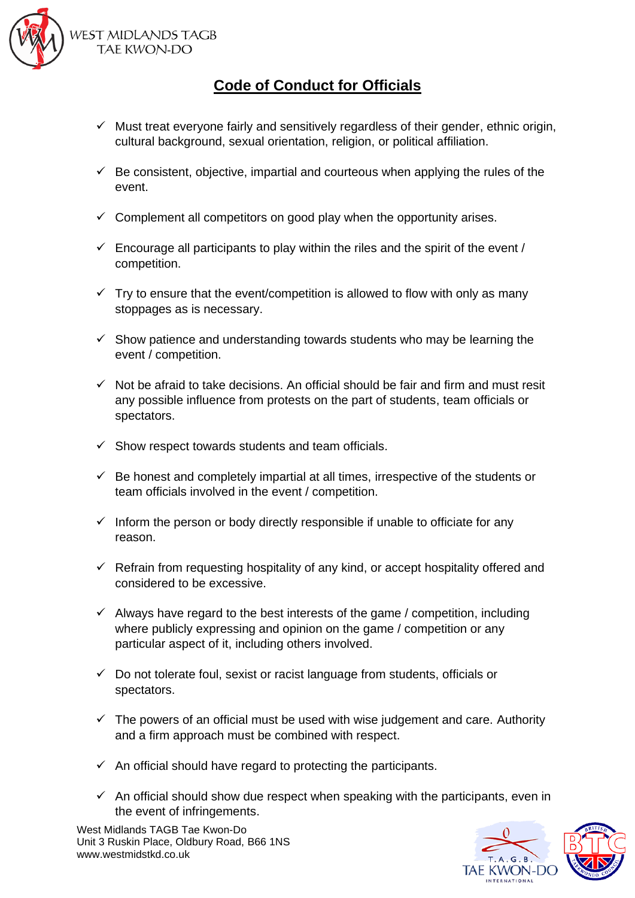

**WEST MIDLANDS TAGB** TAE KWON-DO

## **Code of Conduct for Officials**

- $\checkmark$  Must treat everyone fairly and sensitively regardless of their gender, ethnic origin, cultural background, sexual orientation, religion, or political affiliation.
- $\checkmark$  Be consistent, objective, impartial and courteous when applying the rules of the event.
- $\checkmark$  Complement all competitors on good play when the opportunity arises.
- $\checkmark$  Encourage all participants to play within the riles and the spirit of the event / competition.
- $\checkmark$  Try to ensure that the event/competition is allowed to flow with only as many stoppages as is necessary.
- $\checkmark$  Show patience and understanding towards students who may be learning the event / competition.
- $\checkmark$  Not be afraid to take decisions. An official should be fair and firm and must resit any possible influence from protests on the part of students, team officials or spectators.
- $\checkmark$  Show respect towards students and team officials.
- $\checkmark$  Be honest and completely impartial at all times, irrespective of the students or team officials involved in the event / competition.
- $\checkmark$  Inform the person or body directly responsible if unable to officiate for any reason.
- $\checkmark$  Refrain from requesting hospitality of any kind, or accept hospitality offered and considered to be excessive.
- $\checkmark$  Always have regard to the best interests of the game / competition, including where publicly expressing and opinion on the game / competition or any particular aspect of it, including others involved.
- $\checkmark$  Do not tolerate foul, sexist or racist language from students, officials or spectators.
- $\checkmark$  The powers of an official must be used with wise judgement and care. Authority and a firm approach must be combined with respect.
- $\checkmark$  An official should have regard to protecting the participants.
- $\checkmark$  An official should show due respect when speaking with the participants, even in the event of infringements.

West Midlands TAGB Tae Kwon-Do Unit 3 Ruskin Place, Oldbury Road, B66 1NS www.westmidstkd.co.uk